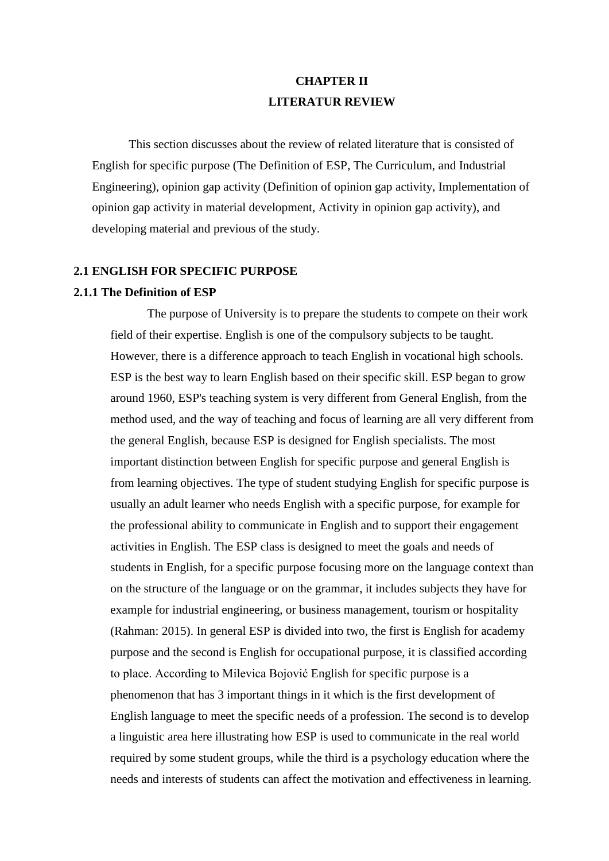# **CHAPTER II LITERATUR REVIEW**

This section discusses about the review of related literature that is consisted of English for specific purpose (The Definition of ESP, The Curriculum, and Industrial Engineering), opinion gap activity (Definition of opinion gap activity, Implementation of opinion gap activity in material development, Activity in opinion gap activity), and developing material and previous of the study.

# **2.1 ENGLISH FOR SPECIFIC PURPOSE**

## **2.1.1 The Definition of ESP**

The purpose of University is to prepare the students to compete on their work field of their expertise. English is one of the compulsory subjects to be taught. However, there is a difference approach to teach English in vocational high schools. ESP is the best way to learn English based on their specific skill. ESP began to grow around 1960, ESP's teaching system is very different from General English, from the method used, and the way of teaching and focus of learning are all very different from the general English, because ESP is designed for English specialists. The most important distinction between English for specific purpose and general English is from learning objectives. The type of student studying English for specific purpose is usually an adult learner who needs English with a specific purpose, for example for the professional ability to communicate in English and to support their engagement activities in English. The ESP class is designed to meet the goals and needs of students in English, for a specific purpose focusing more on the language context than on the structure of the language or on the grammar, it includes subjects they have for example for industrial engineering, or business management, tourism or hospitality (Rahman: 2015). In general ESP is divided into two, the first is English for academy purpose and the second is English for occupational purpose, it is classified according to place. According to Milevica Bojović English for specific purpose is a phenomenon that has 3 important things in it which is the first development of English language to meet the specific needs of a profession. The second is to develop a linguistic area here illustrating how ESP is used to communicate in the real world required by some student groups, while the third is a psychology education where the needs and interests of students can affect the motivation and effectiveness in learning.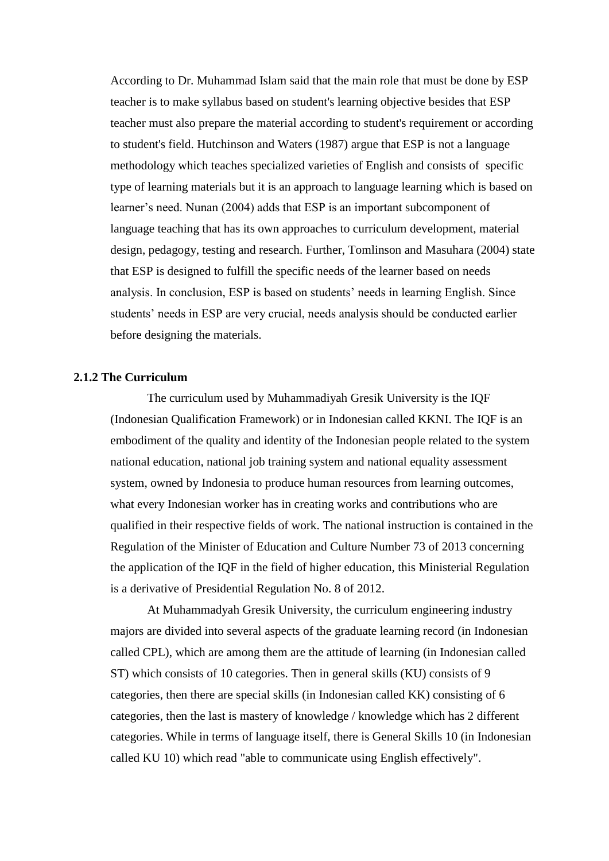According to Dr. Muhammad Islam said that the main role that must be done by ESP teacher is to make syllabus based on student's learning objective besides that ESP teacher must also prepare the material according to student's requirement or according to student's field. Hutchinson and Waters (1987) argue that ESP is not a language methodology which teaches specialized varieties of English and consists of specific type of learning materials but it is an approach to language learning which is based on learner's need. Nunan (2004) adds that ESP is an important subcomponent of language teaching that has its own approaches to curriculum development, material design, pedagogy, testing and research. Further, Tomlinson and Masuhara (2004) state that ESP is designed to fulfill the specific needs of the learner based on needs analysis. In conclusion, ESP is based on students' needs in learning English. Since students' needs in ESP are very crucial, needs analysis should be conducted earlier before designing the materials.

# **2.1.2 The Curriculum**

The curriculum used by Muhammadiyah Gresik University is the IQF (Indonesian Qualification Framework) or in Indonesian called KKNI. The IQF is an embodiment of the quality and identity of the Indonesian people related to the system national education, national job training system and national equality assessment system, owned by Indonesia to produce human resources from learning outcomes, what every Indonesian worker has in creating works and contributions who are qualified in their respective fields of work. The national instruction is contained in the Regulation of the Minister of Education and Culture Number 73 of 2013 concerning the application of the IQF in the field of higher education, this Ministerial Regulation is a derivative of Presidential Regulation No. 8 of 2012.

At Muhammadyah Gresik University, the curriculum engineering industry majors are divided into several aspects of the graduate learning record (in Indonesian called CPL), which are among them are the attitude of learning (in Indonesian called ST) which consists of 10 categories. Then in general skills (KU) consists of 9 categories, then there are special skills (in Indonesian called KK) consisting of 6 categories, then the last is mastery of knowledge / knowledge which has 2 different categories. While in terms of language itself, there is General Skills 10 (in Indonesian called KU 10) which read "able to communicate using English effectively".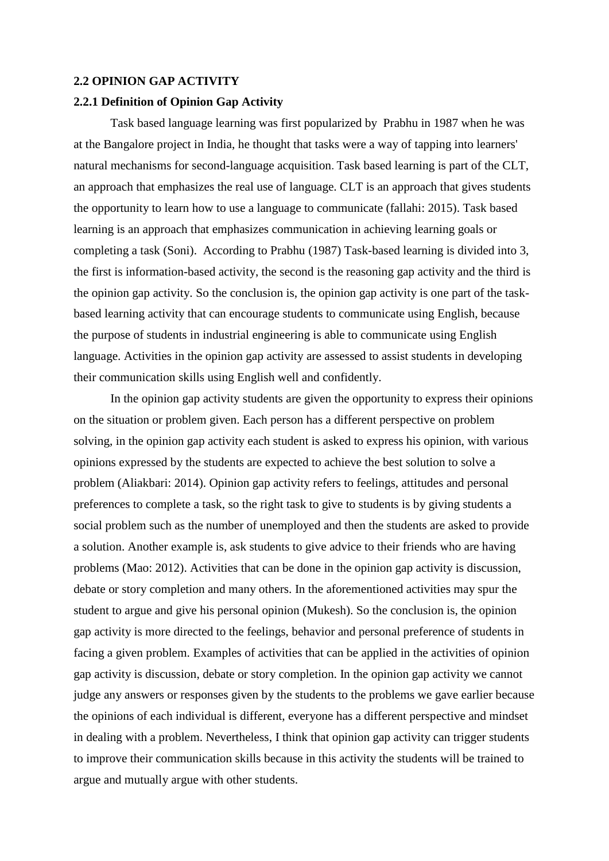#### **2.2 OPINION GAP ACTIVITY**

### **2.2.1 Definition of Opinion Gap Activity**

Task based language learning was first popularized by Prabhu in 1987 when he was at the Bangalore project in India, he thought that tasks were a way of tapping into learners' natural mechanisms for second-language acquisition. Task based learning is part of the CLT, an approach that emphasizes the real use of language. CLT is an approach that gives students the opportunity to learn how to use a language to communicate (fallahi: 2015). Task based learning is an approach that emphasizes communication in achieving learning goals or completing a task (Soni). According to Prabhu (1987) Task-based learning is divided into 3, the first is information-based activity, the second is the reasoning gap activity and the third is the opinion gap activity. So the conclusion is, the opinion gap activity is one part of the taskbased learning activity that can encourage students to communicate using English, because the purpose of students in industrial engineering is able to communicate using English language. Activities in the opinion gap activity are assessed to assist students in developing their communication skills using English well and confidently.

In the opinion gap activity students are given the opportunity to express their opinions on the situation or problem given. Each person has a different perspective on problem solving, in the opinion gap activity each student is asked to express his opinion, with various opinions expressed by the students are expected to achieve the best solution to solve a problem (Aliakbari: 2014). Opinion gap activity refers to feelings, attitudes and personal preferences to complete a task, so the right task to give to students is by giving students a social problem such as the number of unemployed and then the students are asked to provide a solution. Another example is, ask students to give advice to their friends who are having problems (Mao: 2012). Activities that can be done in the opinion gap activity is discussion, debate or story completion and many others. In the aforementioned activities may spur the student to argue and give his personal opinion (Mukesh). So the conclusion is, the opinion gap activity is more directed to the feelings, behavior and personal preference of students in facing a given problem. Examples of activities that can be applied in the activities of opinion gap activity is discussion, debate or story completion. In the opinion gap activity we cannot judge any answers or responses given by the students to the problems we gave earlier because the opinions of each individual is different, everyone has a different perspective and mindset in dealing with a problem. Nevertheless, I think that opinion gap activity can trigger students to improve their communication skills because in this activity the students will be trained to argue and mutually argue with other students.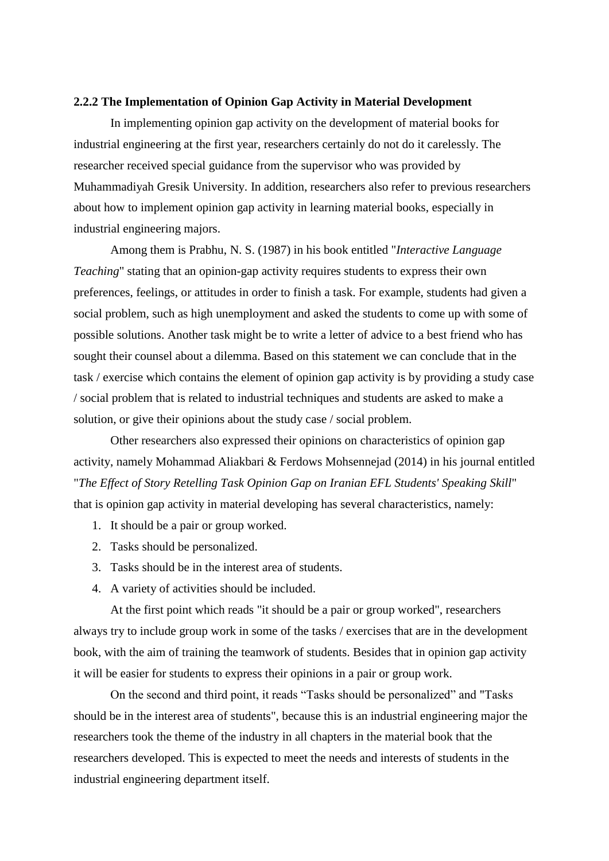### **2.2.2 The Implementation of Opinion Gap Activity in Material Development**

In implementing opinion gap activity on the development of material books for industrial engineering at the first year, researchers certainly do not do it carelessly. The researcher received special guidance from the supervisor who was provided by Muhammadiyah Gresik University. In addition, researchers also refer to previous researchers about how to implement opinion gap activity in learning material books, especially in industrial engineering majors.

Among them is Prabhu, N. S. (1987) in his book entitled "*Interactive Language Teaching*" stating that an opinion-gap activity requires students to express their own preferences, feelings, or attitudes in order to finish a task. For example, students had given a social problem, such as high unemployment and asked the students to come up with some of possible solutions. Another task might be to write a letter of advice to a best friend who has sought their counsel about a dilemma. Based on this statement we can conclude that in the task / exercise which contains the element of opinion gap activity is by providing a study case / social problem that is related to industrial techniques and students are asked to make a solution, or give their opinions about the study case / social problem.

Other researchers also expressed their opinions on characteristics of opinion gap activity, namely Mohammad Aliakbari & Ferdows Mohsennejad (2014) in his journal entitled "*The Effect of Story Retelling Task Opinion Gap on Iranian EFL Students' Speaking Skill*" that is opinion gap activity in material developing has several characteristics, namely:

- 1. It should be a pair or group worked.
- 2. Tasks should be personalized.
- 3. Tasks should be in the interest area of students.
- 4. A variety of activities should be included.

At the first point which reads "it should be a pair or group worked", researchers always try to include group work in some of the tasks / exercises that are in the development book, with the aim of training the teamwork of students. Besides that in opinion gap activity it will be easier for students to express their opinions in a pair or group work.

On the second and third point, it reads "Tasks should be personalized" and "Tasks should be in the interest area of students", because this is an industrial engineering major the researchers took the theme of the industry in all chapters in the material book that the researchers developed. This is expected to meet the needs and interests of students in the industrial engineering department itself.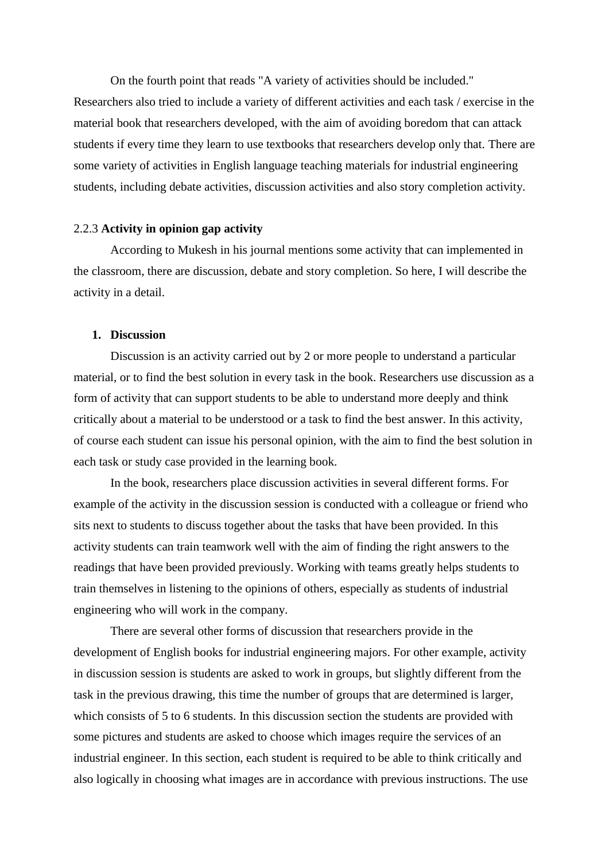On the fourth point that reads "A variety of activities should be included." Researchers also tried to include a variety of different activities and each task / exercise in the material book that researchers developed, with the aim of avoiding boredom that can attack students if every time they learn to use textbooks that researchers develop only that. There are some variety of activities in English language teaching materials for industrial engineering students, including debate activities, discussion activities and also story completion activity.

## 2.2.3 **Activity in opinion gap activity**

According to Mukesh in his journal mentions some activity that can implemented in the classroom, there are discussion, debate and story completion. So here, I will describe the activity in a detail.

## **1. Discussion**

Discussion is an activity carried out by 2 or more people to understand a particular material, or to find the best solution in every task in the book. Researchers use discussion as a form of activity that can support students to be able to understand more deeply and think critically about a material to be understood or a task to find the best answer. In this activity, of course each student can issue his personal opinion, with the aim to find the best solution in each task or study case provided in the learning book.

In the book, researchers place discussion activities in several different forms. For example of the activity in the discussion session is conducted with a colleague or friend who sits next to students to discuss together about the tasks that have been provided. In this activity students can train teamwork well with the aim of finding the right answers to the readings that have been provided previously. Working with teams greatly helps students to train themselves in listening to the opinions of others, especially as students of industrial engineering who will work in the company.

There are several other forms of discussion that researchers provide in the development of English books for industrial engineering majors. For other example, activity in discussion session is students are asked to work in groups, but slightly different from the task in the previous drawing, this time the number of groups that are determined is larger, which consists of 5 to 6 students. In this discussion section the students are provided with some pictures and students are asked to choose which images require the services of an industrial engineer. In this section, each student is required to be able to think critically and also logically in choosing what images are in accordance with previous instructions. The use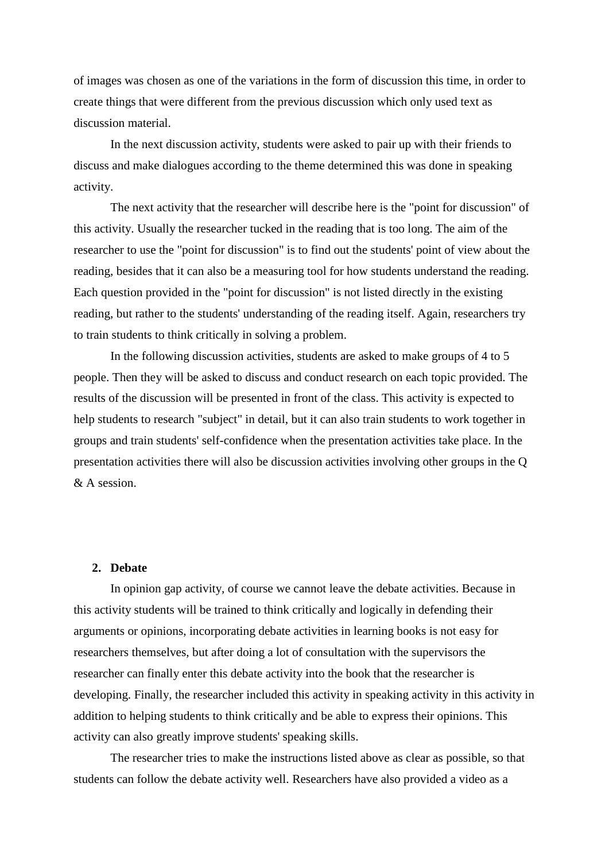of images was chosen as one of the variations in the form of discussion this time, in order to create things that were different from the previous discussion which only used text as discussion material.

In the next discussion activity, students were asked to pair up with their friends to discuss and make dialogues according to the theme determined this was done in speaking activity.

The next activity that the researcher will describe here is the "point for discussion" of this activity. Usually the researcher tucked in the reading that is too long. The aim of the researcher to use the "point for discussion" is to find out the students' point of view about the reading, besides that it can also be a measuring tool for how students understand the reading. Each question provided in the "point for discussion" is not listed directly in the existing reading, but rather to the students' understanding of the reading itself. Again, researchers try to train students to think critically in solving a problem.

In the following discussion activities, students are asked to make groups of 4 to 5 people. Then they will be asked to discuss and conduct research on each topic provided. The results of the discussion will be presented in front of the class. This activity is expected to help students to research "subject" in detail, but it can also train students to work together in groups and train students' self-confidence when the presentation activities take place. In the presentation activities there will also be discussion activities involving other groups in the Q & A session.

# **2. Debate**

In opinion gap activity, of course we cannot leave the debate activities. Because in this activity students will be trained to think critically and logically in defending their arguments or opinions, incorporating debate activities in learning books is not easy for researchers themselves, but after doing a lot of consultation with the supervisors the researcher can finally enter this debate activity into the book that the researcher is developing. Finally, the researcher included this activity in speaking activity in this activity in addition to helping students to think critically and be able to express their opinions. This activity can also greatly improve students' speaking skills.

The researcher tries to make the instructions listed above as clear as possible, so that students can follow the debate activity well. Researchers have also provided a video as a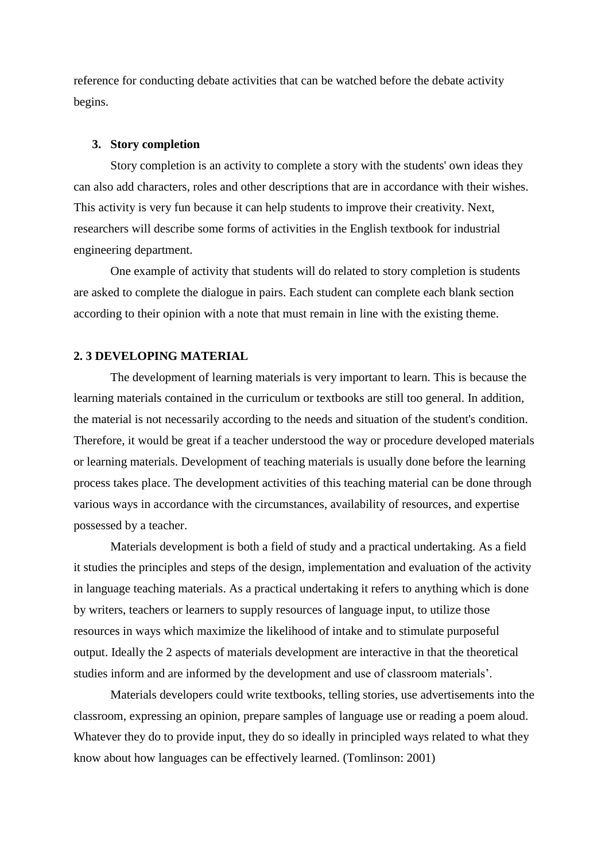reference for conducting debate activities that can be watched before the debate activity begins.

## **3. Story completion**

Story completion is an activity to complete a story with the students' own ideas they can also add characters, roles and other descriptions that are in accordance with their wishes. This activity is very fun because it can help students to improve their creativity. Next, researchers will describe some forms of activities in the English textbook for industrial engineering department.

One example of activity that students will do related to story completion is students are asked to complete the dialogue in pairs. Each student can complete each blank section according to their opinion with a note that must remain in line with the existing theme.

# **2. 3 DEVELOPING MATERIAL**

The development of learning materials is very important to learn. This is because the learning materials contained in the curriculum or textbooks are still too general. In addition, the material is not necessarily according to the needs and situation of the student's condition. Therefore, it would be great if a teacher understood the way or procedure developed materials or learning materials. Development of teaching materials is usually done before the learning process takes place. The development activities of this teaching material can be done through various ways in accordance with the circumstances, availability of resources, and expertise possessed by a teacher.

Materials development is both a field of study and a practical undertaking. As a field it studies the principles and steps of the design, implementation and evaluation of the activity in language teaching materials. As a practical undertaking it refers to anything which is done by writers, teachers or learners to supply resources of language input, to utilize those resources in ways which maximize the likelihood of intake and to stimulate purposeful output. Ideally the 2 aspects of materials development are interactive in that the theoretical studies inform and are informed by the development and use of classroom materials'.

Materials developers could write textbooks, telling stories, use advertisements into the classroom, expressing an opinion, prepare samples of language use or reading a poem aloud. Whatever they do to provide input, they do so ideally in principled ways related to what they know about how languages can be effectively learned. (Tomlinson: 2001)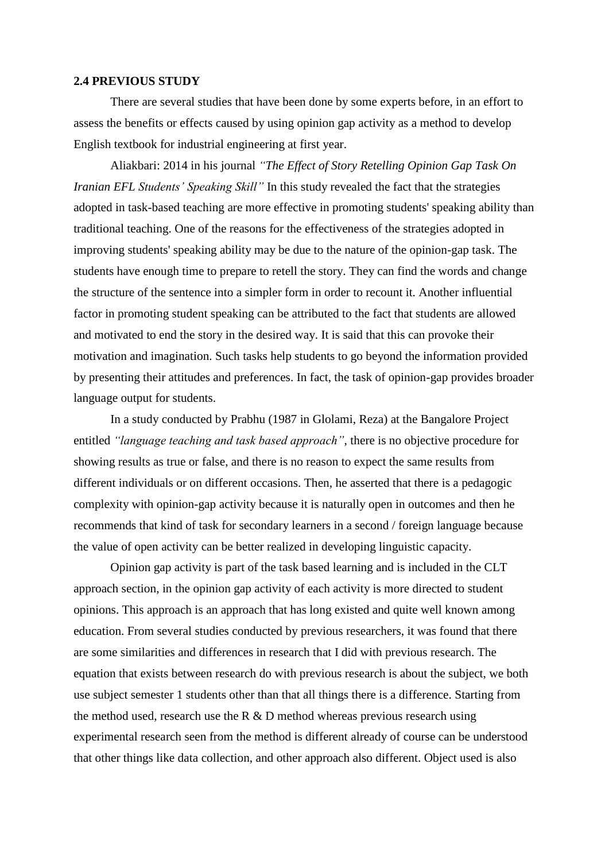### **2.4 PREVIOUS STUDY**

There are several studies that have been done by some experts before, in an effort to assess the benefits or effects caused by using opinion gap activity as a method to develop English textbook for industrial engineering at first year.

Aliakbari: 2014 in his journal *"The Effect of Story Retelling Opinion Gap Task On Iranian EFL Students' Speaking Skill"* In this study revealed the fact that the strategies adopted in task-based teaching are more effective in promoting students' speaking ability than traditional teaching. One of the reasons for the effectiveness of the strategies adopted in improving students' speaking ability may be due to the nature of the opinion-gap task. The students have enough time to prepare to retell the story. They can find the words and change the structure of the sentence into a simpler form in order to recount it. Another influential factor in promoting student speaking can be attributed to the fact that students are allowed and motivated to end the story in the desired way. It is said that this can provoke their motivation and imagination. Such tasks help students to go beyond the information provided by presenting their attitudes and preferences. In fact, the task of opinion-gap provides broader language output for students.

In a study conducted by Prabhu (1987 in Glolami, Reza) at the Bangalore Project entitled *"language teaching and task based approach"*, there is no objective procedure for showing results as true or false, and there is no reason to expect the same results from different individuals or on different occasions. Then, he asserted that there is a pedagogic complexity with opinion-gap activity because it is naturally open in outcomes and then he recommends that kind of task for secondary learners in a second / foreign language because the value of open activity can be better realized in developing linguistic capacity.

Opinion gap activity is part of the task based learning and is included in the CLT approach section, in the opinion gap activity of each activity is more directed to student opinions. This approach is an approach that has long existed and quite well known among education. From several studies conducted by previous researchers, it was found that there are some similarities and differences in research that I did with previous research. The equation that exists between research do with previous research is about the subject, we both use subject semester 1 students other than that all things there is a difference. Starting from the method used, research use the R  $\&$  D method whereas previous research using experimental research seen from the method is different already of course can be understood that other things like data collection, and other approach also different. Object used is also